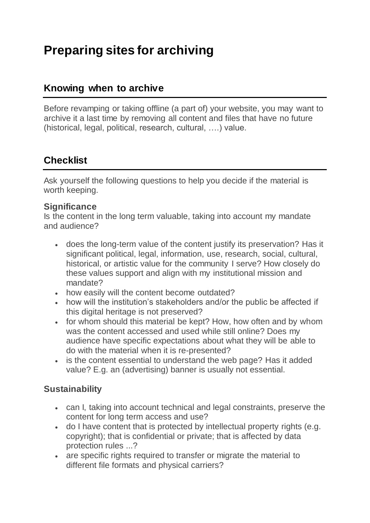# **Preparing sites for archiving**

## **Knowing when to archive**

Before revamping or taking offline (a part of) your website, you may want to archive it a last time by removing all content and files that have no future (historical, legal, political, research, cultural, ….) value.

# **Checklist**

Ask yourself the following questions to help you decide if the material is worth keeping.

#### **Significance**

Is the content in the long term valuable, taking into account my mandate and audience?

- does the long-term value of the content justify its preservation? Has it significant political, legal, information, use, research, social, cultural, historical, or artistic value for the community I serve? How closely do these values support and align with my institutional mission and mandate?
- how easily will the content become outdated?
- how will the institution's stakeholders and/or the public be affected if this digital heritage is not preserved?
- for whom should this material be kept? How, how often and by whom was the content accessed and used while still online? Does my audience have specific expectations about what they will be able to do with the material when it is re-presented?
- is the content essential to understand the web page? Has it added value? E.g. an (advertising) banner is usually not essential.

## **Sustainability**

- can I, taking into account technical and legal constraints, preserve the content for long term access and use?
- do I have content that is protected by intellectual property rights (e.g. copyright); that is confidential or private; that is affected by data protection rules ...?
- are specific rights required to transfer or migrate the material to different file formats and physical carriers?